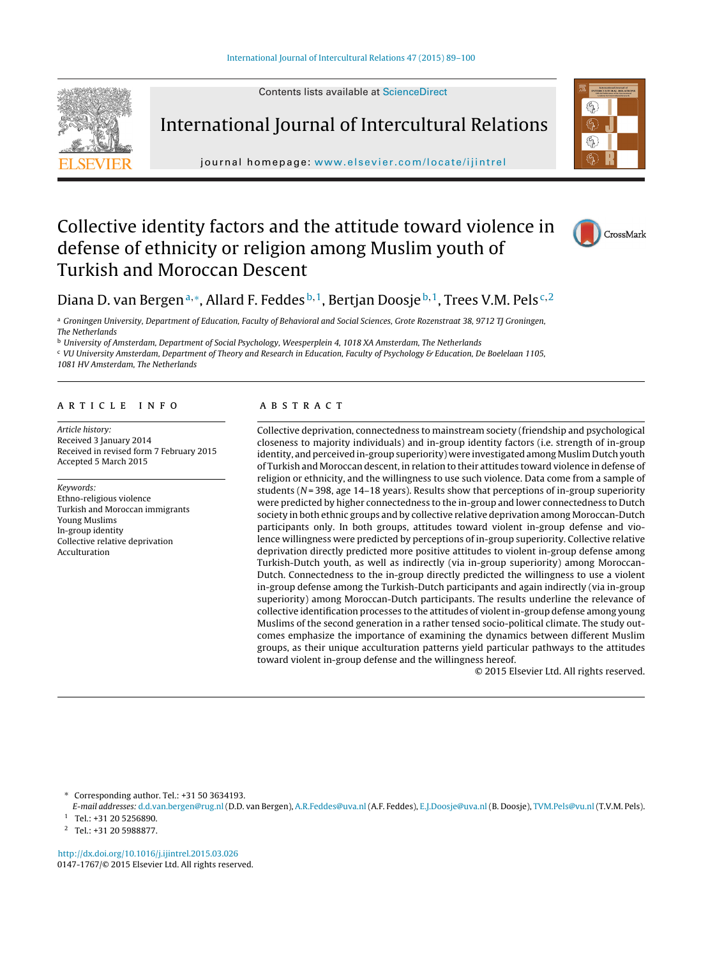Contents lists available at [ScienceDirect](http://www.sciencedirect.com/science/journal/01471767)





journal homepage: [www.elsevier.com/locate/ijintrel](http://www.elsevier.com/locate/ijintrel)



# Collective identity factors and the attitude toward violence in defense of ethnicity or religion among Muslim youth of Turkish and Moroccan Descent



## Diana D. van Bergen<sup>a,∗</sup>, Allard F. Feddes <sup>b, 1</sup>, Bertjan Doosje <sup>b, 1</sup>, Trees V.M. Pels <sup>c, 2</sup>

a Groningen University, Department of Education, Faculty of Behavioral and Social Sciences, Grote Rozenstraat 38, 9712 TJ Groningen, The Netherlands

<sup>b</sup> University of Amsterdam, Department of Social Psychology, Weesperplein 4, 1018 XA Amsterdam, The Netherlands

<sup>c</sup> VU University Amsterdam, Department of Theory and Research in Education, Faculty of Psychology & Education, De Boelelaan 1105,

1081 HV Amsterdam, The Netherlands

#### a r t i c l e i n f o

Article history: Received 3 January 2014 Received in revised form 7 February 2015 Accepted 5 March 2015

Keywords: Ethno-religious violence

Turkish and Moroccan immigrants Young Muslims In-group identity Collective relative deprivation Acculturation

## A B S T R A C T

Collective deprivation, connectedness to mainstream society (friendship and psychological closeness to majority individuals) and in-group identity factors (i.e. strength of in-group identity, and perceived in-group superiority) were investigated among Muslim Dutch youth of Turkish and Moroccan descent, in relation to their attitudes toward violence in defense of religion or ethnicity, and the willingness to use such violence. Data come from a sample of students ( $N = 398$ , age 14–18 years). Results show that perceptions of in-group superiority were predicted by higher connectedness to the in-group and lower connectedness to Dutch society in both ethnic groups and by collective relative deprivation among Moroccan-Dutch participants only. In both groups, attitudes toward violent in-group defense and violence willingness were predicted by perceptions of in-group superiority. Collective relative deprivation directly predicted more positive attitudes to violent in-group defense among Turkish-Dutch youth, as well as indirectly (via in-group superiority) among Moroccan-Dutch. Connectedness to the in-group directly predicted the willingness to use a violent in-group defense among the Turkish-Dutch participants and again indirectly (via in-group superiority) among Moroccan-Dutch participants. The results underline the relevance of collective identification processes to the attitudes of violentin-group defense among young Muslims of the second generation in a rather tensed socio-political climate. The study outcomes emphasize the importance of examining the dynamics between different Muslim groups, as their unique acculturation patterns yield particular pathways to the attitudes toward violent in-group defense and the willingness hereof.

© 2015 Elsevier Ltd. All rights reserved.

∗ Corresponding author. Tel.: +31 50 3634193.

E-mail addresses: [d.d.van.bergen@rug.nl](mailto:d.d.van.bergen@rug.nl) (D.D. van Bergen), [A.R.Feddes@uva.nl](mailto:A.R.Feddes@uva.nl) (A.F. Feddes), [E.J.Doosje@uva.nl](mailto:E.J.Doosje@uva.nl) (B. Doosje), [TVM.Pels@vu.nl](mailto:TVM.Pels@vu.nl) (T.V.M. Pels).

<sup>1</sup> Tel.: +31 20 5256890.

<sup>2</sup> Tel.: +31 20 5988877.

[http://dx.doi.org/10.1016/j.ijintrel.2015.03.026](dx.doi.org/10.1016/j.ijintrel.2015.03.026) 0147-1767/© 2015 Elsevier Ltd. All rights reserved.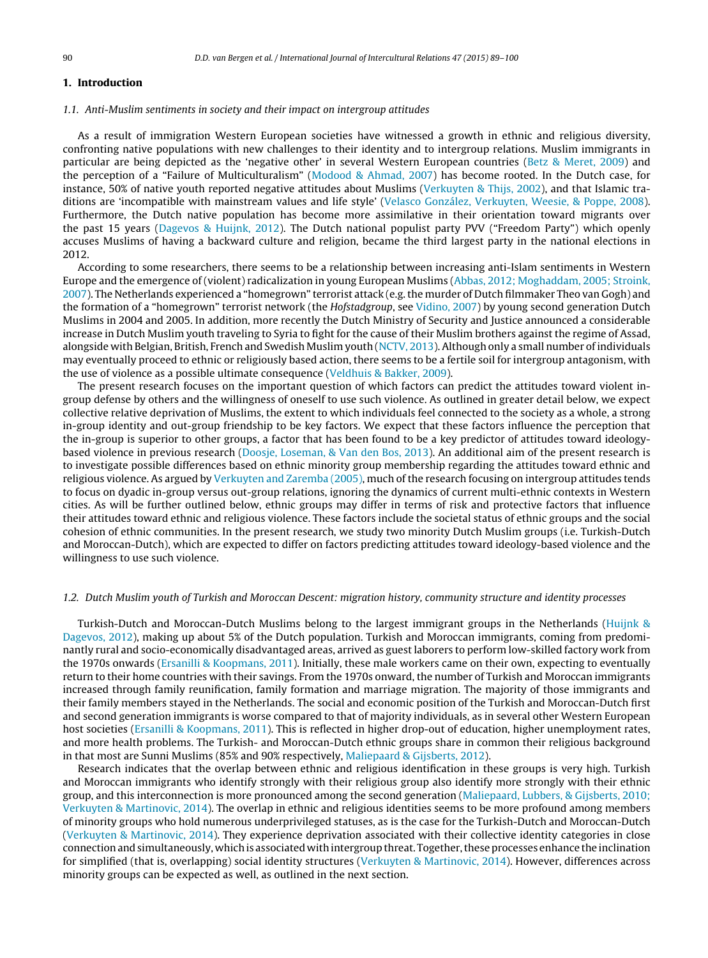#### **1. Introduction**

#### 1.1. Anti-Muslim sentiments in society and their impact on intergroup attitudes

As a result of immigration Western European societies have witnessed a growth in ethnic and religious diversity, confronting native populations with new challenges to their identity and to intergroup relations. Muslim immigrants in particular are being depicted as the 'negative other' in several Western European countries ([Betz](#page-10-0) [&](#page-10-0) [Meret,](#page-10-0) [2009\)](#page-10-0) and the perception of a "Failure of Multiculturalism" ([Modood](#page-11-0) [&](#page-11-0) [Ahmad,](#page-11-0) [2007\)](#page-11-0) has become rooted. In the Dutch case, for instance, 50% of native youth reported negative attitudes about Muslims ([Verkuyten](#page-11-0) [&](#page-11-0) [Thijs,](#page-11-0) [2002\),](#page-11-0) and that Islamic traditions are 'incompatible with mainstream values and life style' [\(Velasco](#page-11-0) [González,](#page-11-0) [Verkuyten,](#page-11-0) [Weesie,](#page-11-0) [&](#page-11-0) [Poppe,](#page-11-0) [2008\).](#page-11-0) Furthermore, the Dutch native population has become more assimilative in their orientation toward migrants over the past 15 years ([Dagevos](#page-10-0) [&](#page-10-0) [Huijnk,](#page-10-0) [2012\).](#page-10-0) The Dutch national populist party PVV ("Freedom Party") which openly accuses Muslims of having a backward culture and religion, became the third largest party in the national elections in 2012.

According to some researchers, there seems to be a relationship between increasing anti-Islam sentiments in Western Europe and the emergence of (violent) radicalization in young European Muslims ([Abbas,](#page-10-0) [2012;](#page-10-0) [Moghaddam,](#page-10-0) [2005;](#page-10-0) [Stroink,](#page-10-0) [2007\).](#page-10-0) The Netherlands experienced a "homegrown" terrorist attack (e.g.the murder of Dutch filmmaker Theo van Gogh) and the formation of a "homegrown" terrorist network (the Hofstadgroup, see [Vidino,](#page-11-0) [2007\)](#page-11-0) by young second generation Dutch Muslims in 2004 and 2005. In addition, more recently the Dutch Ministry of Security and Justice announced a considerable increase in Dutch Muslim youth traveling to Syria to fight for the cause of their Muslim brothers against the regime of Assad, alongside with Belgian, British, French and Swedish Muslim youth ([NCTV,](#page-11-0) [2013\).](#page-11-0) Although only a small number of individuals may eventually proceed to ethnic or religiously based action, there seems to be a fertile soil for intergroup antagonism, with the use of violence as a possible ultimate consequence [\(Veldhuis](#page-11-0) [&](#page-11-0) [Bakker,](#page-11-0) [2009\).](#page-11-0)

The present research focuses on the important question of which factors can predict the attitudes toward violent ingroup defense by others and the willingness of oneself to use such violence. As outlined in greater detail below, we expect collective relative deprivation of Muslims, the extent to which individuals feel connected to the society as a whole, a strong in-group identity and out-group friendship to be key factors. We expect that these factors influence the perception that the in-group is superior to other groups, a factor that has been found to be a key predictor of attitudes toward ideologybased violence in previous research ([Doosje,](#page-10-0) [Loseman,](#page-10-0) [&](#page-10-0) [Van](#page-10-0) [den](#page-10-0) [Bos,](#page-10-0) [2013\).](#page-10-0) An additional aim of the present research is to investigate possible differences based on ethnic minority group membership regarding the attitudes toward ethnic and religious violence. As argued by [Verkuyten](#page-11-0) [and](#page-11-0) [Zaremba](#page-11-0) [\(2005\),](#page-11-0) much of the research focusing on intergroup attitudes tends to focus on dyadic in-group versus out-group relations, ignoring the dynamics of current multi-ethnic contexts in Western cities. As will be further outlined below, ethnic groups may differ in terms of risk and protective factors that influence their attitudes toward ethnic and religious violence. These factors include the societal status of ethnic groups and the social cohesion of ethnic communities. In the present research, we study two minority Dutch Muslim groups (i.e. Turkish-Dutch and Moroccan-Dutch), which are expected to differ on factors predicting attitudes toward ideology-based violence and the willingness to use such violence.

#### 1.2. Dutch Muslim youth of Turkish and Moroccan Descent: migration history, community structure and identity processes

Turkish-Dutch and Moroccan-Dutch Muslims belong to the largest immigrant groups in the Netherlands ([Huijnk](#page-11-0) [&](#page-11-0) [Dagevos,](#page-11-0) [2012\),](#page-11-0) making up about 5% of the Dutch population. Turkish and Moroccan immigrants, coming from predominantly rural and socio-economically disadvantaged areas, arrived as guest laborers to perform low-skilled factory work from the 1970s onwards [\(Ersanilli](#page-11-0) [&](#page-11-0) [Koopmans,](#page-11-0) [2011\).](#page-11-0) Initially, these male workers came on their own, expecting to eventually return to their home countries with their savings. From the 1970s onward, the number of Turkish and Moroccan immigrants increased through family reunification, family formation and marriage migration. The majority of those immigrants and their family members stayed in the Netherlands. The social and economic position of the Turkish and Moroccan-Dutch first and second generation immigrants is worse compared to that of majority individuals, as in several other Western European host societies [\(Ersanilli](#page-11-0) [&](#page-11-0) [Koopmans,](#page-11-0) [2011\).](#page-11-0) This is reflected in higher drop-out of education, higher unemployment rates, and more health problems. The Turkish- and Moroccan-Dutch ethnic groups share in common their religious background in that most are Sunni Muslims (85% and 90% respectively, [Maliepaard](#page-11-0) [&](#page-11-0) [Gijsberts,](#page-11-0) [2012\).](#page-11-0)

Research indicates that the overlap between ethnic and religious identification in these groups is very high. Turkish and Moroccan immigrants who identify strongly with their religious group also identify more strongly with their ethnic group, and this interconnection is more pronounced among the second generation ([Maliepaard,](#page-11-0) [Lubbers,](#page-11-0) [&](#page-11-0) [Gijsberts,](#page-11-0) [2010;](#page-11-0) [Verkuyten](#page-11-0) [&](#page-11-0) [Martinovic,](#page-11-0) [2014\).](#page-11-0) The overlap in ethnic and religious identities seems to be more profound among members of minority groups who hold numerous underprivileged statuses, as is the case for the Turkish-Dutch and Moroccan-Dutch [\(Verkuyten](#page-11-0) [&](#page-11-0) [Martinovic,](#page-11-0) [2014\).](#page-11-0) They experience deprivation associated with their collective identity categories in close connection and simultaneously, which is associated with intergroup threat. Together, these processes enhance the inclination for simplified (that is, overlapping) social identity structures ([Verkuyten](#page-11-0) [&](#page-11-0) [Martinovic,](#page-11-0) [2014\).](#page-11-0) However, differences across minority groups can be expected as well, as outlined in the next section.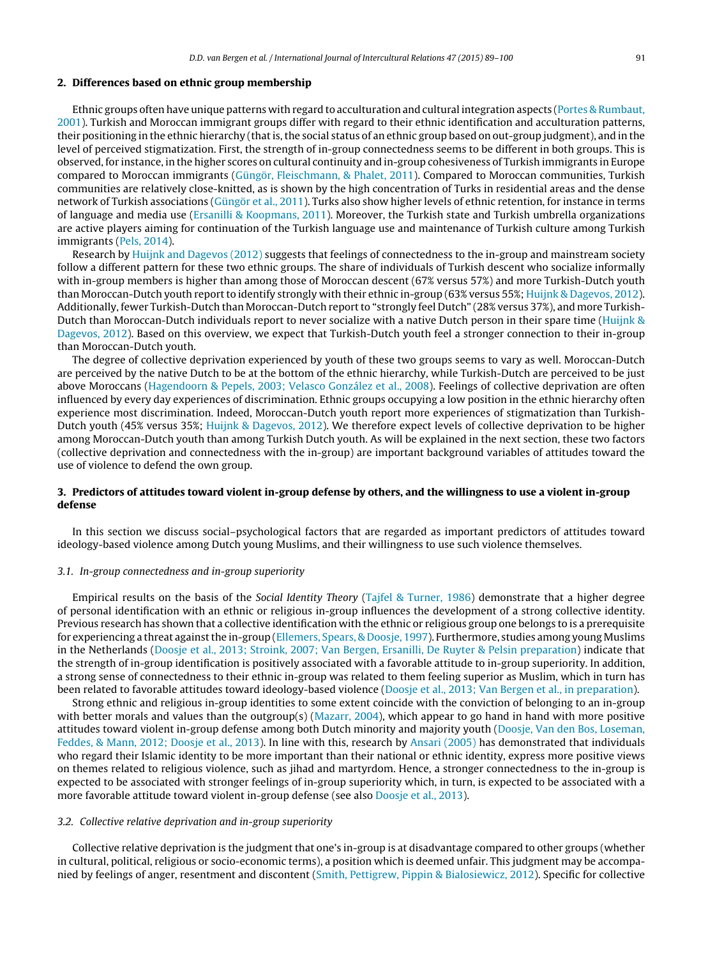#### **2. Differences based on ethnic group membership**

Ethnic groups often have unique patterns with regard to acculturation and cultural integration aspects ([Portes](#page-11-0) [&](#page-11-0) [Rumbaut,](#page-11-0) [2001\).](#page-11-0) Turkish and Moroccan immigrant groups differ with regard to their ethnic identification and acculturation patterns, their positioning in the ethnic hierarchy (that is, the social status of an ethnic group based on out-group judgment), and in the level of perceived stigmatization. First, the strength of in-group connectedness seems to be different in both groups. This is observed, for instance, in the higher scores on cultural continuity and in-group cohesiveness of Turkish immigrants in Europe compared to Moroccan immigrants [\(Güngör,](#page-11-0) [Fleischmann,](#page-11-0) [&](#page-11-0) [Phalet,](#page-11-0) [2011\).](#page-11-0) Compared to Moroccan communities, Turkish communities are relatively close-knitted, as is shown by the high concentration of Turks in residential areas and the dense network of Turkish associations ([Güngör](#page-11-0) et [al.,](#page-11-0) [2011\).](#page-11-0) Turks also show higher levels of ethnic retention, for instance in terms of language and media use [\(Ersanilli](#page-11-0) [&](#page-11-0) [Koopmans,](#page-11-0) [2011\).](#page-11-0) Moreover, the Turkish state and Turkish umbrella organizations are active players aiming for continuation of the Turkish language use and maintenance of Turkish culture among Turkish immigrants [\(Pels,](#page-11-0) [2014\).](#page-11-0)

Research by [Huijnk](#page-11-0) [and](#page-11-0) [Dagevos](#page-11-0) [\(2012\)](#page-11-0) suggests that feelings of connectedness to the in-group and mainstream society follow a different pattern for these two ethnic groups. The share of individuals of Turkish descent who socialize informally with in-group members is higher than among those of Moroccan descent (67% versus 57%) and more Turkish-Dutch youth than Moroccan-Dutch youth report to identify strongly with their ethnic in-group (63% versus 55%; [Huijnk](#page-11-0) [&](#page-11-0) [Dagevos,](#page-11-0) [2012\).](#page-11-0) Additionally, fewer Turkish-Dutch than Moroccan-Dutch report to "strongly feel Dutch" (28% versus 37%), and more Turkish-Dutch than Moroccan-Dutch individuals report to never socialize with a native Dutch person in their spare time [\(Huijnk](#page-11-0) [&](#page-11-0) [Dagevos,](#page-11-0) [2012\).](#page-11-0) Based on this overview, we expect that Turkish-Dutch youth feel a stronger connection to their in-group than Moroccan-Dutch youth.

The degree of collective deprivation experienced by youth of these two groups seems to vary as well. Moroccan-Dutch are perceived by the native Dutch to be at the bottom of the ethnic hierarchy, while Turkish-Dutch are perceived to be just above Moroccans [\(Hagendoorn](#page-11-0) [&](#page-11-0) [Pepels,](#page-11-0) [2003;](#page-11-0) [Velasco](#page-11-0) [González](#page-11-0) et [al.,](#page-11-0) [2008\).](#page-11-0) Feelings of collective deprivation are often influenced by every day experiences of discrimination. Ethnic groups occupying a low position in the ethnic hierarchy often experience most discrimination. Indeed, Moroccan-Dutch youth report more experiences of stigmatization than Turkish-Dutch youth (45% versus 35%; [Huijnk](#page-11-0) [&](#page-11-0) [Dagevos,](#page-11-0) [2012\).](#page-11-0) We therefore expect levels of collective deprivation to be higher among Moroccan-Dutch youth than among Turkish Dutch youth. As will be explained in the next section, these two factors (collective deprivation and connectedness with the in-group) are important background variables of attitudes toward the use of violence to defend the own group.

## 3. Predictors of attitudes toward violent in-group defense by others, and the willingness to use a violent in-group **defense**

In this section we discuss social–psychological factors that are regarded as important predictors of attitudes toward ideology-based violence among Dutch young Muslims, and their willingness to use such violence themselves.

#### 3.1. In-group connectedness and in-group superiority

Empirical results on the basis of the Social Identity Theory ([Tajfel](#page-11-0) [&](#page-11-0) [Turner,](#page-11-0) [1986\)](#page-11-0) demonstrate that a higher degree of personal identification with an ethnic or religious in-group influences the development of a strong collective identity. Previous research has shown that a collective identification with the ethnic or religious group one belongs to is a prerequisite for experiencing a threat againstthe in-group ([Ellemers,](#page-11-0) [Spears,](#page-11-0) [&](#page-11-0) [Doosje,](#page-11-0) [1997\).](#page-11-0) Furthermore, studies among young Muslims in the Netherlands [\(Doosje](#page-10-0) et [al.,](#page-10-0) [2013;](#page-10-0) [Stroink,](#page-10-0) [2007;](#page-10-0) [Van](#page-10-0) [Bergen,](#page-10-0) [Ersanilli,](#page-10-0) [De](#page-10-0) [Ruyter](#page-10-0) [&](#page-10-0) [Pelsin](#page-10-0) [preparation\)](#page-10-0) indicate that the strength of in-group identification is positively associated with a favorable attitude to in-group superiority. In addition, a strong sense of connectedness to their ethnic in-group was related to them feeling superior as Muslim, which in turn has been related to favorable attitudes toward ideology-based violence [\(Doosje](#page-10-0) et [al.,](#page-10-0) [2013;](#page-10-0) [Van](#page-10-0) [Bergen](#page-10-0) et [al.,](#page-10-0) [in](#page-10-0) [preparation\).](#page-10-0)

Strong ethnic and religious in-group identities to some extent coincide with the conviction of belonging to an in-group with better morals and values than the outgroup(s) ([Mazarr,](#page-11-0) [2004\),](#page-11-0) which appear to go hand in hand with more positive attitudes toward violent in-group defense among both Dutch minority and majority youth [\(Doosje,](#page-10-0) [Van](#page-10-0) [den](#page-10-0) [Bos,](#page-10-0) [Loseman,](#page-10-0) [Feddes,](#page-10-0) [&](#page-10-0) [Mann,](#page-10-0) [2012;](#page-10-0) [Doosje](#page-10-0) et [al.,](#page-10-0) [2013\).](#page-10-0) In line with this, research by [Ansari](#page-10-0) [\(2005\)](#page-10-0) has demonstrated that individuals who regard their Islamic identity to be more important than their national or ethnic identity, express more positive views on themes related to religious violence, such as jihad and martyrdom. Hence, a stronger connectedness to the in-group is expected to be associated with stronger feelings of in-group superiority which, in turn, is expected to be associated with a more favorable attitude toward violent in-group defense (see also [Doosje](#page-10-0) et [al.,](#page-10-0) [2013\).](#page-10-0)

#### 3.2. Collective relative deprivation and in-group superiority

Collective relative deprivation is the judgment that one's in-group is at disadvantage compared to other groups (whether in cultural, political, religious or socio-economic terms), a position which is deemed unfair. This judgment may be accompanied by feelings of anger, resentment and discontent [\(Smith,](#page-11-0) [Pettigrew,](#page-11-0) [Pippin](#page-11-0) [&](#page-11-0) [Bialosiewicz,](#page-11-0) [2012\).](#page-11-0) Specific for collective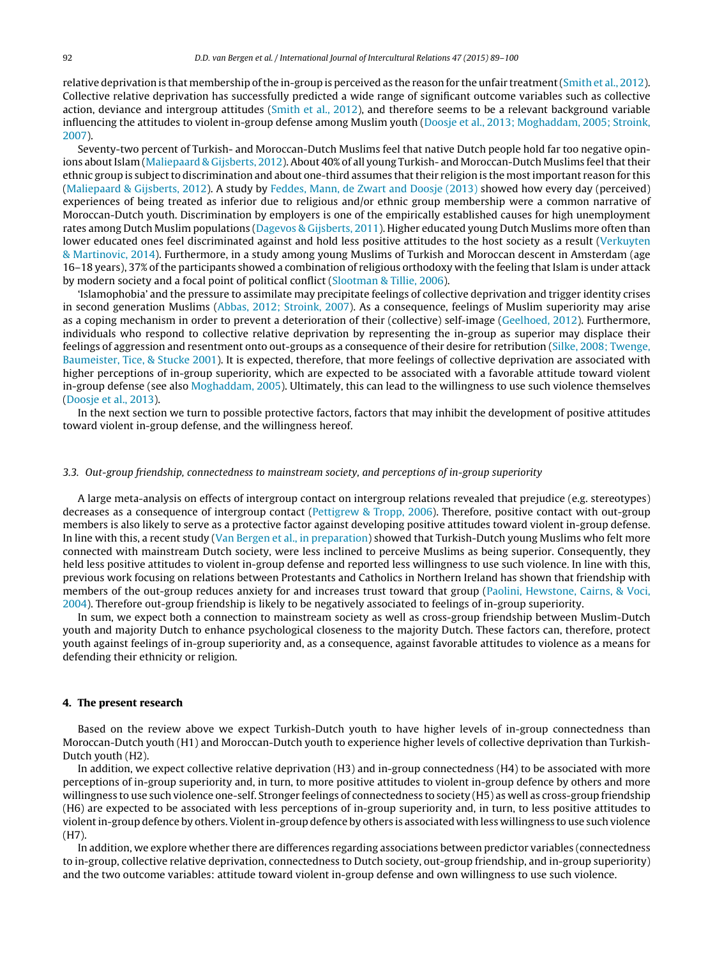relative deprivation is that membership ofthe in-group is perceived as the reason for the unfair treatment[\(Smith](#page-11-0) et [al.,](#page-11-0) [2012\).](#page-11-0) Collective relative deprivation has successfully predicted a wide range of significant outcome variables such as collective action, deviance and intergroup attitudes ([Smith](#page-11-0) et [al.,](#page-11-0) [2012\),](#page-11-0) and therefore seems to be a relevant background variable influencing the attitudes to violent in-group defense among Muslim youth [\(Doosje](#page-10-0) et [al.,](#page-10-0) [2013;](#page-10-0) [Moghaddam,](#page-10-0) [2005;](#page-10-0) [Stroink,](#page-10-0) [2007\).](#page-10-0)

Seventy-two percent of Turkish- and Moroccan-Dutch Muslims feel that native Dutch people hold far too negative opin-ions about Islam [\(Maliepaard](#page-11-0) [&](#page-11-0) [Gijsberts,](#page-11-0) [2012\).](#page-11-0) About 40% of all young Turkish- and Moroccan-Dutch Muslims feel that their ethnic group is subject to discrimination and about one-third assumes that their religion is the most important reason for this [\(Maliepaard](#page-11-0) [&](#page-11-0) [Gijsberts,](#page-11-0) [2012\).](#page-11-0) A study by [Feddes,](#page-11-0) [Mann,](#page-11-0) [de](#page-11-0) [Zwart](#page-11-0) [and](#page-11-0) [Doosje](#page-11-0) [\(2013\)](#page-11-0) showed how every day (perceived) experiences of being treated as inferior due to religious and/or ethnic group membership were a common narrative of Moroccan-Dutch youth. Discrimination by employers is one of the empirically established causes for high unemployment rates among Dutch Muslim populations ([Dagevos](#page-10-0) [&](#page-10-0) [Gijsberts,](#page-10-0) [2011\).](#page-10-0) Higher educated young Dutch Muslims more often than lower educated ones feel discriminated against and hold less positive attitudes to the host society as a result ([Verkuyten](#page-11-0) [&](#page-11-0) [Martinovic,](#page-11-0) [2014\).](#page-11-0) Furthermore, in a study among young Muslims of Turkish and Moroccan descent in Amsterdam (age 16–18 years), 37% of the participants showed a combination of religious orthodoxy with the feeling that Islam is under attack by modern society and a focal point of political conflict [\(Slootman](#page-11-0) [&](#page-11-0) [Tillie,](#page-11-0) [2006\).](#page-11-0)

'Islamophobia' and the pressure to assimilate may precipitate feelings of collective deprivation and trigger identity crises in second generation Muslims [\(Abbas,](#page-10-0) [2012;](#page-10-0) [Stroink,](#page-10-0) [2007\).](#page-10-0) As a consequence, feelings of Muslim superiority may arise as a coping mechanism in order to prevent a deterioration of their (collective) self-image ([Geelhoed,](#page-11-0) [2012\).](#page-11-0) Furthermore, individuals who respond to collective relative deprivation by representing the in-group as superior may displace their feelings of aggression and resentment onto out-groups as a consequence of their desire for retribution ([Silke,](#page-11-0) [2008;](#page-11-0) [Twenge,](#page-11-0) [Baumeister,](#page-11-0) [Tice,](#page-11-0) [&](#page-11-0) [Stucke](#page-11-0) [2001\).](#page-11-0) It is expected, therefore, that more feelings of collective deprivation are associated with higher perceptions of in-group superiority, which are expected to be associated with a favorable attitude toward violent in-group defense (see also [Moghaddam,](#page-11-0) [2005\).](#page-11-0) Ultimately, this can lead to the willingness to use such violence themselves [\(Doosje](#page-10-0) et [al.,](#page-10-0) [2013\).](#page-10-0)

In the next section we turn to possible protective factors, factors that may inhibit the development of positive attitudes toward violent in-group defense, and the willingness hereof.

#### 3.3. Out-group friendship, connectedness to mainstream society, and perceptions of in-group superiority

A large meta-analysis on effects of intergroup contact on intergroup relations revealed that prejudice (e.g. stereotypes) decreases as a consequence of intergroup contact [\(Pettigrew](#page-11-0) [&](#page-11-0) [Tropp,](#page-11-0) [2006\).](#page-11-0) Therefore, positive contact with out-group members is also likely to serve as a protective factor against developing positive attitudes toward violent in-group defense. In line with this, a recent study [\(Van](#page-11-0) [Bergen](#page-11-0) et [al.,](#page-11-0) [in](#page-11-0) [preparation\)](#page-11-0) showed that Turkish-Dutch young Muslims who felt more connected with mainstream Dutch society, were less inclined to perceive Muslims as being superior. Consequently, they held less positive attitudes to violent in-group defense and reported less willingness to use such violence. In line with this, previous work focusing on relations between Protestants and Catholics in Northern Ireland has shown that friendship with members of the out-group reduces anxiety for and increases trust toward that group ([Paolini,](#page-11-0) [Hewstone,](#page-11-0) [Cairns,](#page-11-0) [&](#page-11-0) [Voci,](#page-11-0) [2004\).](#page-11-0) Therefore out-group friendship is likely to be negatively associated to feelings of in-group superiority.

In sum, we expect both a connection to mainstream society as well as cross-group friendship between Muslim-Dutch youth and majority Dutch to enhance psychological closeness to the majority Dutch. These factors can, therefore, protect youth against feelings of in-group superiority and, as a consequence, against favorable attitudes to violence as a means for defending their ethnicity or religion.

#### **4. The present research**

Based on the review above we expect Turkish-Dutch youth to have higher levels of in-group connectedness than Moroccan-Dutch youth (H1) and Moroccan-Dutch youth to experience higher levels of collective deprivation than Turkish-Dutch youth (H2).

In addition, we expect collective relative deprivation (H3) and in-group connectedness (H4) to be associated with more perceptions of in-group superiority and, in turn, to more positive attitudes to violent in-group defence by others and more willingness to use such violence one-self. Stronger feelings of connectedness to society (H5) as well as cross-group friendship (H6) are expected to be associated with less perceptions of in-group superiority and, in turn, to less positive attitudes to violentin-group defence by others. Violentin-group defence by others is associated with less willingness to use such violence (H7).

In addition, we explore whether there are differences regarding associations between predictor variables (connectedness to in-group, collective relative deprivation, connectedness to Dutch society, out-group friendship, and in-group superiority) and the two outcome variables: attitude toward violent in-group defense and own willingness to use such violence.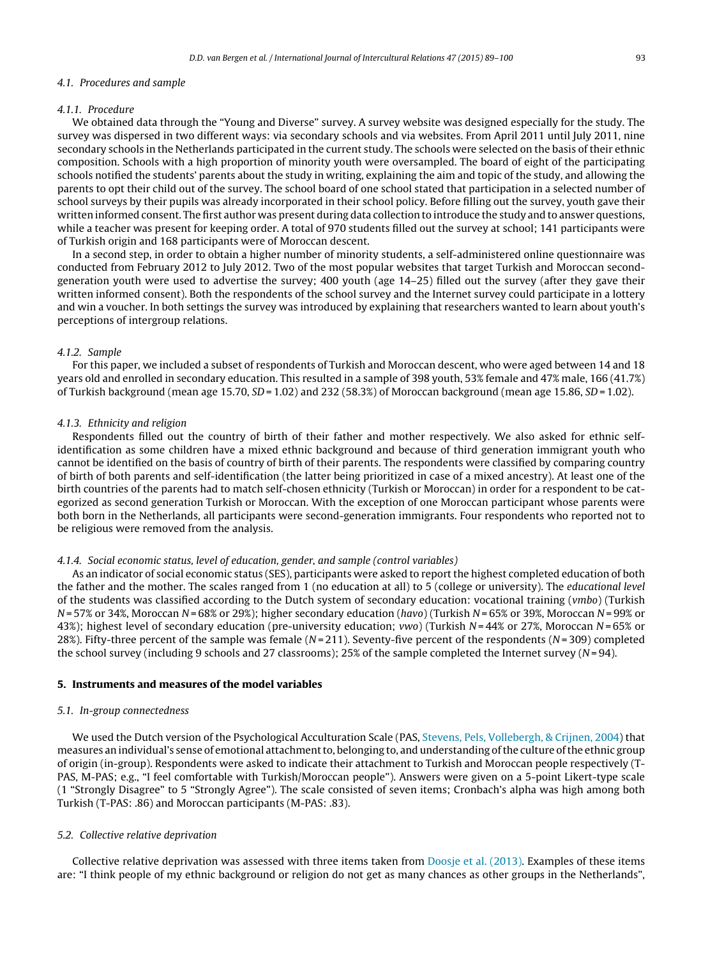#### 4.1. Procedures and sample

#### 4.1.1. Procedure

We obtained data through the "Young and Diverse" survey. A survey website was designed especially for the study. The survey was dispersed in two different ways: via secondary schools and via websites. From April 2011 until July 2011, nine secondary schools in the Netherlands participated in the current study. The schools were selected on the basis of their ethnic composition. Schools with a high proportion of minority youth were oversampled. The board of eight of the participating schools notified the students' parents about the study in writing, explaining the aim and topic of the study, and allowing the parents to opt their child out of the survey. The school board of one school stated that participation in a selected number of school surveys by their pupils was already incorporated in their school policy. Before filling out the survey, youth gave their written informed consent. The first author was present during data collection to introduce the study and to answer questions, while a teacher was present for keeping order. A total of 970 students filled out the survey at school; 141 participants were of Turkish origin and 168 participants were of Moroccan descent.

In a second step, in order to obtain a higher number of minority students, a self-administered online questionnaire was conducted from February 2012 to July 2012. Two of the most popular websites that target Turkish and Moroccan secondgeneration youth were used to advertise the survey; 400 youth (age 14–25) filled out the survey (after they gave their written informed consent). Both the respondents of the school survey and the Internet survey could participate in a lottery and win a voucher. In both settings the survey was introduced by explaining that researchers wanted to learn about youth's perceptions of intergroup relations.

## 4.1.2. Sample

For this paper, we included a subset of respondents of Turkish and Moroccan descent, who were aged between 14 and 18 years old and enrolled in secondary education. This resulted in a sample of 398 youth, 53% female and 47% male, 166 (41.7%) of Turkish background (mean age  $15.70$ ,  $SD = 1.02$ ) and  $232$  (58.3%) of Moroccan background (mean age  $15.86$ ,  $SD = 1.02$ ).

#### 4.1.3. Ethnicity and religion

Respondents filled out the country of birth of their father and mother respectively. We also asked for ethnic selfidentification as some children have a mixed ethnic background and because of third generation immigrant youth who cannot be identified on the basis of country of birth of their parents. The respondents were classified by comparing country of birth of both parents and self-identification (the latter being prioritized in case of a mixed ancestry). At least one of the birth countries of the parents had to match self-chosen ethnicity (Turkish or Moroccan) in order for a respondent to be categorized as second generation Turkish or Moroccan. With the exception of one Moroccan participant whose parents were both born in the Netherlands, all participants were second-generation immigrants. Four respondents who reported not to be religious were removed from the analysis.

#### 4.1.4. Social economic status, level of education, gender, and sample (control variables)

As an indicator of social economic status (SES), participants were asked to report the highest completed education of both the father and the mother. The scales ranged from 1 (no education at all) to 5 (college or university). The educational level of the students was classified according to the Dutch system of secondary education: vocational training (vmbo) (Turkish  $N = 57\%$  or 34%, Moroccan  $N = 68\%$  or 29%); higher secondary education (havo) (Turkish  $N = 65\%$  or 39%, Moroccan  $N = 99\%$  or 43%); highest level of secondary education (pre-university education; vwo) (Turkish  $N = 44\%$  or 27%, Moroccan  $N = 65\%$  or 28%). Fifty-three percent of the sample was female ( $N = 211$ ). Seventy-five percent of the respondents ( $N = 309$ ) completed the school survey (including 9 schools and 27 classrooms); 25% of the sample completed the Internet survey ( $N = 94$ ).

#### **5. Instruments and measures of the model variables**

#### 5.1. In-group connectedness

We used the Dutch version of the Psychological Acculturation Scale (PAS, [Stevens,](#page-11-0) [Pels,](#page-11-0) [Vollebergh,](#page-11-0) [&](#page-11-0) [Crijnen,](#page-11-0) [2004\)](#page-11-0) that measures an individual's sense of emotional attachmentto, belonging to, and understanding ofthe culture ofthe ethnic group of origin (in-group). Respondents were asked to indicate their attachment to Turkish and Moroccan people respectively (T-PAS, M-PAS; e.g., "I feel comfortable with Turkish/Moroccan people"). Answers were given on a 5-point Likert-type scale (1 "Strongly Disagree" to 5 "Strongly Agree"). The scale consisted of seven items; Cronbach's alpha was high among both Turkish (T-PAS: .86) and Moroccan participants (M-PAS: .83).

#### 5.2. Collective relative deprivation

Collective relative deprivation was assessed with three items taken from [Doosje](#page-10-0) et [al.](#page-10-0) [\(2013\).](#page-10-0) Examples of these items are: "I think people of my ethnic background or religion do not get as many chances as other groups in the Netherlands",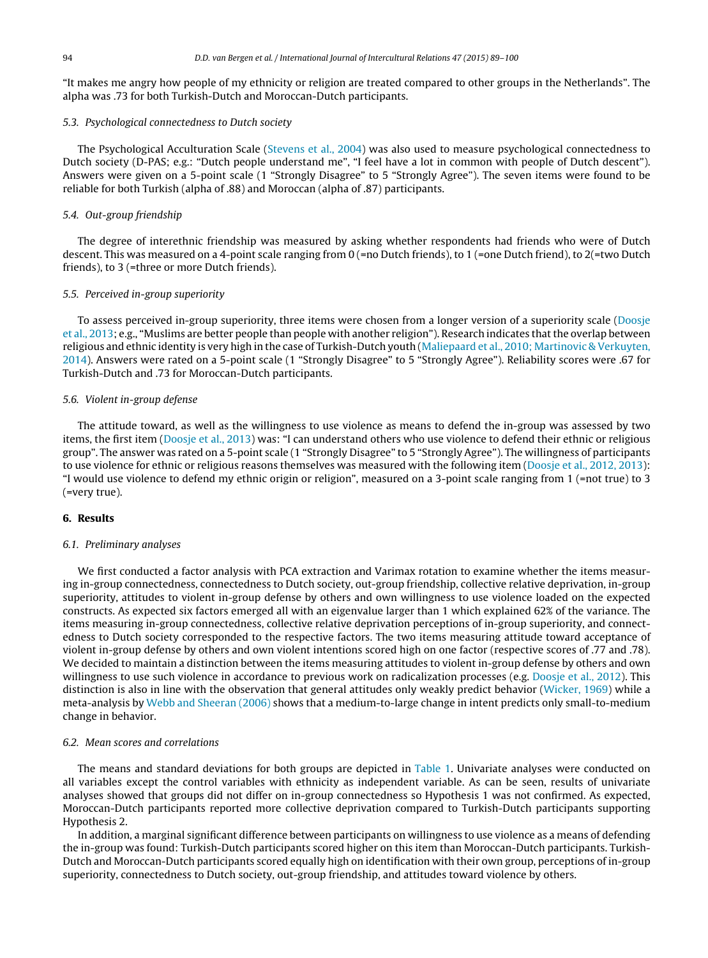"It makes me angry how people of my ethnicity or religion are treated compared to other groups in the Netherlands". The alpha was .73 for both Turkish-Dutch and Moroccan-Dutch participants.

#### 5.3. Psychological connectedness to Dutch society

The Psychological Acculturation Scale ([Stevens](#page-11-0) et [al.,](#page-11-0) [2004\)](#page-11-0) was also used to measure psychological connectedness to Dutch society (D-PAS; e.g.: "Dutch people understand me", "I feel have a lot in common with people of Dutch descent"). Answers were given on a 5-point scale (1 "Strongly Disagree" to 5 "Strongly Agree"). The seven items were found to be reliable for both Turkish (alpha of .88) and Moroccan (alpha of .87) participants.

#### 5.4. Out-group friendship

The degree of interethnic friendship was measured by asking whether respondents had friends who were of Dutch descent. This was measured on a 4-point scale ranging from 0 (=no Dutch friends), to 1 (=one Dutch friend), to 2(=two Dutch friends), to 3 (=three or more Dutch friends).

#### 5.5. Perceived in-group superiority

To assess perceived in-group superiority, three items were chosen from a longer version of a superiority scale ([Doosje](#page-10-0) et [al.,](#page-10-0) [2013;](#page-10-0) e.g., "Muslims are better people than people with another religion"). Research indicates that the overlap between religious and ethnic identity is very high in the case of Turkish-Dutch youth [\(Maliepaard](#page-11-0) et [al.,](#page-11-0) [2010;](#page-11-0) [Martinovic](#page-11-0) [&](#page-11-0) [Verkuyten,](#page-11-0) [2014\).](#page-11-0) Answers were rated on a 5-point scale (1 "Strongly Disagree" to 5 "Strongly Agree"). Reliability scores were .67 for Turkish-Dutch and .73 for Moroccan-Dutch participants.

#### 5.6. Violent in-group defense

The attitude toward, as well as the willingness to use violence as means to defend the in-group was assessed by two items, the first item [\(Doosje](#page-10-0) et [al.,](#page-10-0) [2013\)](#page-10-0) was: "I can understand others who use violence to defend their ethnic or religious group". The answer was rated on a 5-point scale (1 "Strongly Disagree" to 5 "Strongly Agree"). The willingness of participants to use violence for ethnic or religious reasons themselves was measured with the following item ([Doosje](#page-10-0) et [al.,](#page-10-0) [2012,](#page-10-0) [2013\):](#page-10-0) "I would use violence to defend my ethnic origin or religion", measured on a 3-point scale ranging from 1 (=not true) to 3 (=very true).

#### **6. Results**

#### 6.1. Preliminary analyses

We first conducted a factor analysis with PCA extraction and Varimax rotation to examine whether the items measuring in-group connectedness, connectedness to Dutch society, out-group friendship, collective relative deprivation, in-group superiority, attitudes to violent in-group defense by others and own willingness to use violence loaded on the expected constructs. As expected six factors emerged all with an eigenvalue larger than 1 which explained 62% of the variance. The items measuring in-group connectedness, collective relative deprivation perceptions of in-group superiority, and connectedness to Dutch society corresponded to the respective factors. The two items measuring attitude toward acceptance of violent in-group defense by others and own violent intentions scored high on one factor (respective scores of .77 and .78). We decided to maintain a distinction between the items measuring attitudes to violent in-group defense by others and own willingness to use such violence in accordance to previous work on radicalization processes (e.g. [Doosje](#page-10-0) et [al.,](#page-10-0) [2012\).](#page-10-0) This distinction is also in line with the observation that general attitudes only weakly predict behavior ([Wicker,](#page-11-0) [1969\)](#page-11-0) while a meta-analysis by [Webb](#page-11-0) [and](#page-11-0) [Sheeran](#page-11-0) [\(2006\)](#page-11-0) shows that a medium-to-large change in intent predicts only small-to-medium change in behavior.

## 6.2. Mean scores and correlations

The means and standard deviations for both groups are depicted in [Table](#page-6-0) 1. Univariate analyses were conducted on all variables except the control variables with ethnicity as independent variable. As can be seen, results of univariate analyses showed that groups did not differ on in-group connectedness so Hypothesis 1 was not confirmed. As expected, Moroccan-Dutch participants reported more collective deprivation compared to Turkish-Dutch participants supporting Hypothesis 2.

In addition, a marginal significant difference between participants on willingness to use violence as a means of defending the in-group was found: Turkish-Dutch participants scored higher on this item than Moroccan-Dutch participants. Turkish-Dutch and Moroccan-Dutch participants scored equally high on identification with their own group, perceptions of in-group superiority, connectedness to Dutch society, out-group friendship, and attitudes toward violence by others.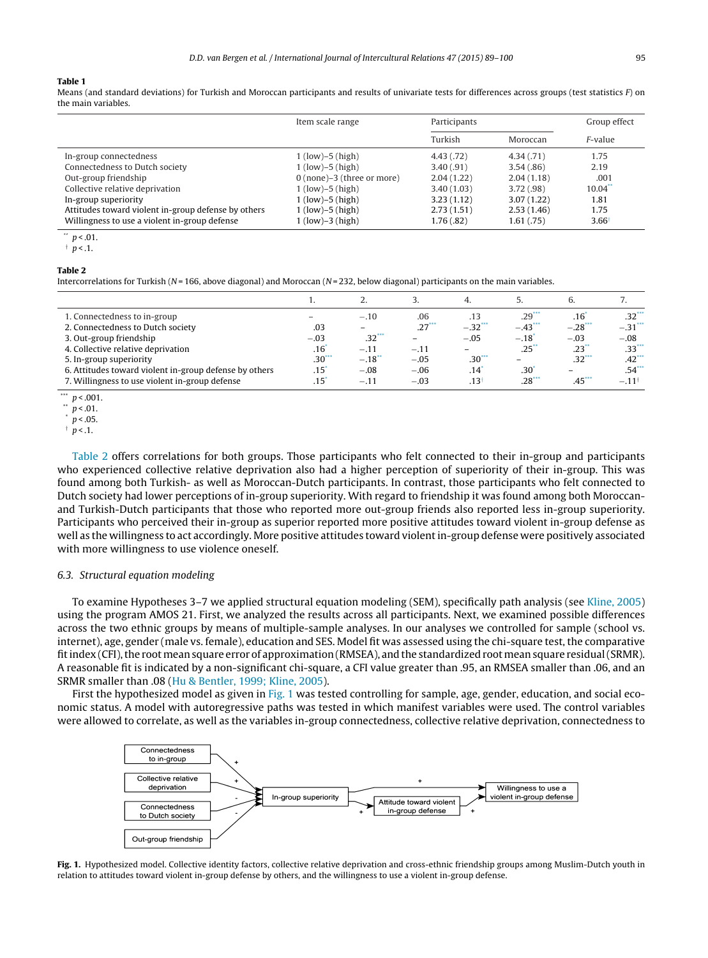#### <span id="page-6-0"></span>**Table 1**

Means (and standard deviations) for Turkish and Moroccan participants and results of univariate tests for differences across groups (test statistics F) on the main variables.

|                                                     | Item scale range                | Participants |            | Group effect      |  |
|-----------------------------------------------------|---------------------------------|--------------|------------|-------------------|--|
|                                                     |                                 | Turkish      | Moroccan   | F-value           |  |
| In-group connectedness                              | $1$ (low) $-5$ (high)           | 4.43(0.72)   | 4.34(0.71) | 1.75              |  |
| Connectedness to Dutch society                      | $1$ (low) $-5$ (high)           | 3.40(.91)    | 3.54(.86)  | 2.19              |  |
| Out-group friendship                                | $0$ (none) $-3$ (three or more) | 2.04(1.22)   | 2.04(1.18) | .001              |  |
| Collective relative deprivation                     | $1$ (low) $-5$ (high)           | 3.40(1.03)   | 3.72(.98)  | $10.04^{\degree}$ |  |
| In-group superiority                                | $1$ (low) $-5$ (high)           | 3.23(1.12)   | 3.07(1.22) | 1.81              |  |
| Attitudes toward violent in-group defense by others | $1$ (low) $-5$ (high)           | 2.73(1.51)   | 2.53(1.46) | 1.75              |  |
| Willingness to use a violent in-group defense       | $1$ (low) $-3$ (high)           | 1.76(.82)    | 1.61(.75)  | $3.66^{\dagger}$  |  |

 $p < .01$ .

 $<sup>†</sup> p < .1.$ </sup>

**Table 2**

Intercorrelations for Turkish ( $N = 166$ , above diagonal) and Moroccan ( $N = 232$ , below diagonal) participants on the main variables.

|                                                        |                 |                          |          | 4.                 |                     |                      |                     |
|--------------------------------------------------------|-----------------|--------------------------|----------|--------------------|---------------------|----------------------|---------------------|
| 1. Connectedness to in-group                           |                 | $-.10$                   | .06      | .13                | .29                 | .16                  | $32^{**}$           |
| 2. Connectedness to Dutch society                      | .03             | $\overline{\phantom{0}}$ | $.27***$ | $-.32$             | $-.43$              | $-.28$ ***           | $-.31$              |
| 3. Out-group friendship                                | $-.03$          | $.32***$                 | -        | $-.05$             | $-.18$ <sup>*</sup> | $-.03$               | $-.08$              |
| 4. Collective relative deprivation                     | .16             | $-.11$                   | $-.11$   |                    | $.25$ <sup>**</sup> | .23'''               | $.33***$            |
| 5. In-group superiority                                | $.30***$        | $-.18$ <sup>*</sup>      | $-.05$   | $.30***$           |                     | $.32$ <sup>***</sup> | $.42^{**}$          |
| 6. Attitudes toward violent in-group defense by others | .15             | $-.08$                   | $-.06$   | $.14$ <sup>*</sup> | .30 <sup>2</sup>    | $\equiv$             | $.54^{*}$           |
| 7. Willingness to use violent in-group defense         | $.15^{\degree}$ | $-.11$                   | $-.03$   | .13 <sup>†</sup>   | $.28***$            | $.45***$             | $-.11$ <sup>†</sup> |

 $p < .001$ .

 $p < .01$ .

 $p < .05.$ 

 $\dagger$   $p < .1$  .

Table 2 offers correlations for both groups. Those participants who felt connected to their in-group and participants who experienced collective relative deprivation also had a higher perception of superiority of their in-group. This was found among both Turkish- as well as Moroccan-Dutch participants. In contrast, those participants who felt connected to Dutch society had lower perceptions of in-group superiority. With regard to friendship it was found among both Moroccanand Turkish-Dutch participants that those who reported more out-group friends also reported less in-group superiority. Participants who perceived their in-group as superior reported more positive attitudes toward violent in-group defense as well as the willingness to act accordingly. More positive attitudes toward violentin-group defense were positively associated with more willingness to use violence oneself.

#### 6.3. Structural equation modeling

To examine Hypotheses 3–7 we applied structural equation modeling (SEM), specifically path analysis (see [Kline,](#page-11-0) [2005\)](#page-11-0) using the program AMOS 21. First, we analyzed the results across all participants. Next, we examined possible differences across the two ethnic groups by means of multiple-sample analyses. In our analyses we controlled for sample (school vs. internet), age, gender (male vs. female), education and SES. Model fit was assessed using the chi-square test, the comparative fit index (CFI), the root mean square error of approximation (RMSEA), and the standardized root mean square residual (SRMR). A reasonable fit is indicated by a non-significant chi-square, a CFI value greater than .95, an RMSEA smaller than .06, and an SRMR smaller than .08 [\(Hu](#page-11-0) [&](#page-11-0) [Bentler,](#page-11-0) [1999;](#page-11-0) [Kline,](#page-11-0) [2005\).](#page-11-0)

First the hypothesized model as given in Fig. 1 was tested controlling for sample, age, gender, education, and social economic status. A model with autoregressive paths was tested in which manifest variables were used. The control variables were allowed to correlate, as well as the variables in-group connectedness, collective relative deprivation, connectedness to



**Fig. 1.** Hypothesized model. Collective identity factors, collective relative deprivation and cross-ethnic friendship groups among Muslim-Dutch youth in relation to attitudes toward violent in-group defense by others, and the willingness to use a violent in-group defense.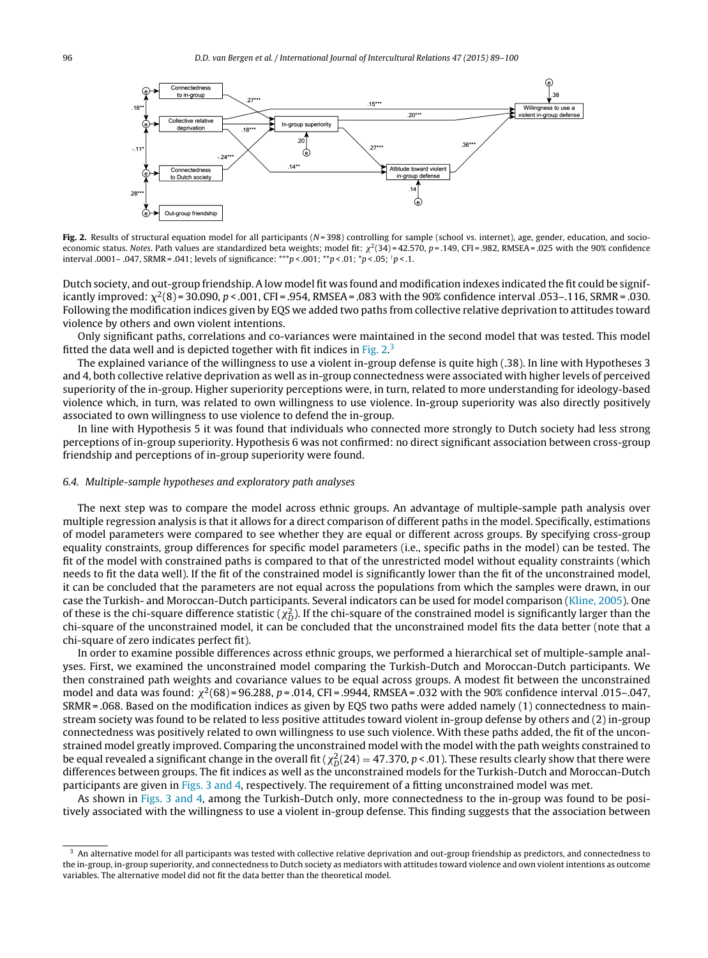

Fig. 2. Results of structural equation model for all participants (N=398) controlling for sample (school vs. internet), age, gender, education, and socioeconomic status. Notes. Path values are standardized beta weights; model fit:  $\chi^2(34) = 42.570$ , p = .149, CFI = .982, RMSEA = .025 with the 90% confidence interval .0001– .047, SRMR = .041; levels of significance: \*\*\*p < .001; \*\*p < .01; \*p < .05; †p < .1.

Dutch society, and out-group friendship. A low model fit was found and modification indexes indicated the fit could be significantly improved:  $\chi^2(8)$  = 30.090, p < .001, CFI = .954, RMSEA = .083 with the 90% confidence interval .053–.116, SRMR = .030. Following the modification indices given by EQS we added two paths from collective relative deprivation to attitudes toward violence by others and own violent intentions.

Only significant paths, correlations and co-variances were maintained in the second model that was tested. This model fitted the data well and is depicted together with fit indices in Fig.  $2^3$ 

The explained variance of the willingness to use a violent in-group defense is quite high (.38). In line with Hypotheses 3 and 4, both collective relative deprivation as well as in-group connectedness were associated with higher levels of perceived superiority of the in-group. Higher superiority perceptions were, in turn, related to more understanding for ideology-based violence which, in turn, was related to own willingness to use violence. In-group superiority was also directly positively associated to own willingness to use violence to defend the in-group.

In line with Hypothesis 5 it was found that individuals who connected more strongly to Dutch society had less strong perceptions of in-group superiority. Hypothesis 6 was not confirmed: no direct significant association between cross-group friendship and perceptions of in-group superiority were found.

#### 6.4. Multiple-sample hypotheses and exploratory path analyses

The next step was to compare the model across ethnic groups. An advantage of multiple-sample path analysis over multiple regression analysis is that it allows for a direct comparison of different paths in the model. Specifically, estimations of model parameters were compared to see whether they are equal or different across groups. By specifying cross-group equality constraints, group differences for specific model parameters (i.e., specific paths in the model) can be tested. The fit of the model with constrained paths is compared to that of the unrestricted model without equality constraints (which needs to fit the data well). If the fit of the constrained model is significantly lower than the fit of the unconstrained model, it can be concluded that the parameters are not equal across the populations from which the samples were drawn, in our case the Turkish- and Moroccan-Dutch participants. Several indicators can be used for model comparison ([Kline,](#page-11-0) [2005\).](#page-11-0) One of these is the chi-square difference statistic ( $\chi_D^2$ ). If the chi-square of the constrained model is significantly larger than the chi-square of the unconstrained model, it can be concluded that the unconstrained model fits the data better (note that a chi-square of zero indicates perfect fit).

In order to examine possible differences across ethnic groups, we performed a hierarchical set of multiple-sample analyses. First, we examined the unconstrained model comparing the Turkish-Dutch and Moroccan-Dutch participants. We then constrained path weights and covariance values to be equal across groups. A modest fit between the unconstrained model and data was found:  $\chi^2$ (68) = 96.288, p = .014, CFI = .9944, RMSEA = .032 with the 90% confidence interval .015–.047, SRMR = .068. Based on the modification indices as given by EQS two paths were added namely (1) connectedness to mainstream society was found to be related to less positive attitudes toward violent in-group defense by others and (2) in-group connectedness was positively related to own willingness to use such violence. With these paths added, the fit of the unconstrained model greatly improved. Comparing the unconstrained model with the model with the path weights constrained to be equal revealed a significant change in the overall fit ( $\chi^2_D(24) = 47.370$ ,  $p < .01$ ). These results clearly show that there were differences between groups. The fit indices as well as the unconstrained models for the Turkish-Dutch and Moroccan-Dutch participants are given in [Figs.](#page-8-0) 3 and 4, respectively. The requirement of a fitting unconstrained model was met.

As shown in [Figs.](#page-8-0) 3 and 4, among the Turkish-Dutch only, more connectedness to the in-group was found to be positively associated with the willingness to use a violent in-group defense. This finding suggests that the association between

 $3$  An alternative model for all participants was tested with collective relative deprivation and out-group friendship as predictors, and connectedness to the in-group, in-group superiority, and connectedness to Dutch society as mediators with attitudes toward violence and own violent intentions as outcome variables. The alternative model did not fit the data better than the theoretical model.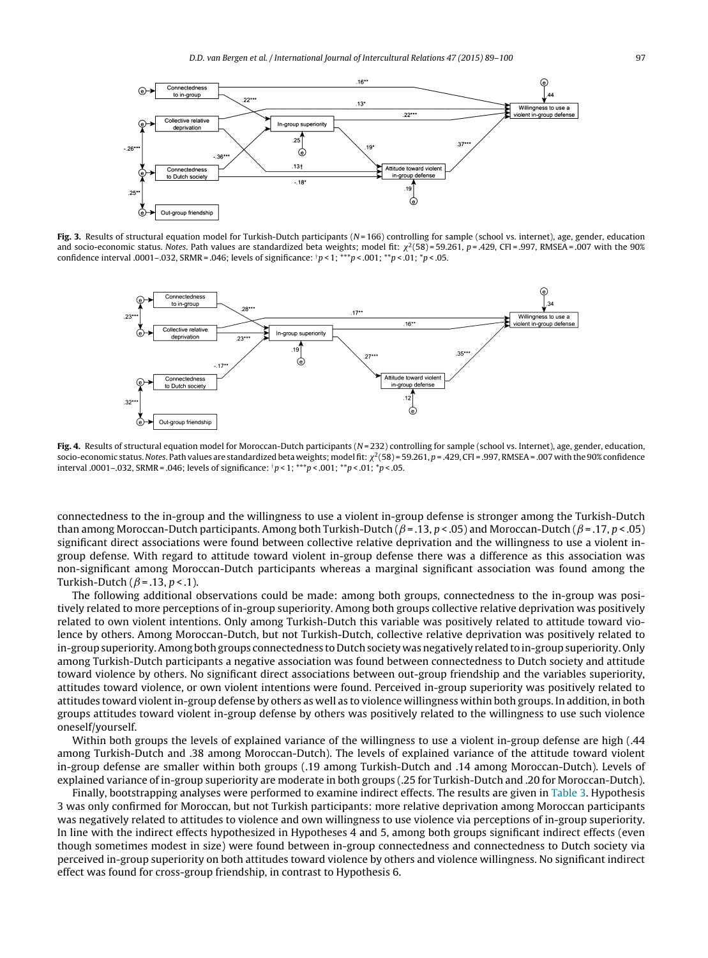<span id="page-8-0"></span>

**Fig. 3.** Results of structural equation model for Turkish-Dutch participants  $(N=166)$  controlling for sample (school vs. internet), age, gender, education and socio-economic status. Notes. Path values are standardized beta weights; model fit:  $\chi^2(58)$ =59.261, p=.429, CFI=.997, RMSEA=.007 with the 90% confidence interval .0001–.032, SRMR = .046; levels of significance:  $\frac{1}{p}$  < 1; \*\*\*p < .001; \*\*p < .01; \*p < .05.



Fig. 4. Results of structural equation model for Moroccan-Dutch participants (N = 232) controlling for sample (school vs. Internet), age, gender, education, socio-economic status. Notes. Path values are standardized beta weights; model fit:  $\chi^2(58)$  = 59.261, p = .429, CFI = .997, RMSEA = .007 with the 90% confidence interval .0001–.032, SRMR = .046; levels of significance: †p < 1; \*\*\*p < .001; \*\*p < .01; \*p < .05.

connectedness to the in-group and the willingness to use a violent in-group defense is stronger among the Turkish-Dutch than among Moroccan-Dutch participants. Among both Turkish-Dutch ( $\beta$  = .13, p < .05) and Moroccan-Dutch ( $\beta$  = .17, p < .05) significant direct associations were found between collective relative deprivation and the willingness to use a violent ingroup defense. With regard to attitude toward violent in-group defense there was a difference as this association was non-significant among Moroccan-Dutch participants whereas a marginal significant association was found among the Turkish-Dutch ( $\beta$  = .13, p < .1).

The following additional observations could be made: among both groups, connectedness to the in-group was positively related to more perceptions of in-group superiority. Among both groups collective relative deprivation was positively related to own violent intentions. Only among Turkish-Dutch this variable was positively related to attitude toward violence by others. Among Moroccan-Dutch, but not Turkish-Dutch, collective relative deprivation was positively related to in-group superiority. Among both groups connectedness to Dutch society was negatively related to in-group superiority. Only among Turkish-Dutch participants a negative association was found between connectedness to Dutch society and attitude toward violence by others. No significant direct associations between out-group friendship and the variables superiority, attitudes toward violence, or own violent intentions were found. Perceived in-group superiority was positively related to attitudes toward violentin-group defense by others as well as to violence willingness within both groups. In addition, in both groups attitudes toward violent in-group defense by others was positively related to the willingness to use such violence oneself/yourself.

Within both groups the levels of explained variance of the willingness to use a violent in-group defense are high (.44 among Turkish-Dutch and .38 among Moroccan-Dutch). The levels of explained variance of the attitude toward violent in-group defense are smaller within both groups (.19 among Turkish-Dutch and .14 among Moroccan-Dutch). Levels of explained variance of in-group superiority are moderate in both groups (.25 for Turkish-Dutch and .20 for Moroccan-Dutch).

Finally, bootstrapping analyses were performed to examine indirect effects. The results are given in [Table](#page-9-0) 3. Hypothesis 3 was only confirmed for Moroccan, but not Turkish participants: more relative deprivation among Moroccan participants was negatively related to attitudes to violence and own willingness to use violence via perceptions of in-group superiority. In line with the indirect effects hypothesized in Hypotheses 4 and 5, among both groups significant indirect effects (even though sometimes modest in size) were found between in-group connectedness and connectedness to Dutch society via perceived in-group superiority on both attitudes toward violence by others and violence willingness. No significant indirect effect was found for cross-group friendship, in contrast to Hypothesis 6.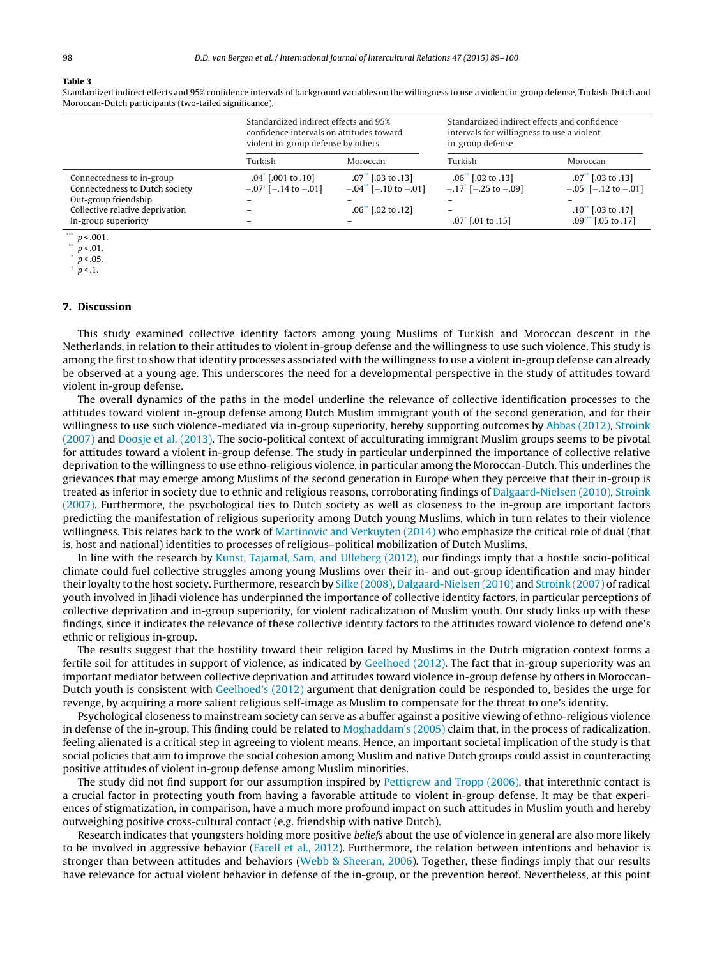#### <span id="page-9-0"></span>**Table 3**

Standardized indirect effects and 95% confidence intervals of background variables on the willingness to use a violent in-group defense, Turkish-Dutch and Moroccan-Dutch participants (two-tailed significance).

|                                                                                 | Standardized indirect effects and 95%<br>confidence intervals on attitudes toward<br>violent in-group defense by others |                                                                   | Standardized indirect effects and confidence<br>intervals for willingness to use a violent<br>in-group defense |                                                                    |  |
|---------------------------------------------------------------------------------|-------------------------------------------------------------------------------------------------------------------------|-------------------------------------------------------------------|----------------------------------------------------------------------------------------------------------------|--------------------------------------------------------------------|--|
|                                                                                 | Turkish                                                                                                                 | Moroccan                                                          | Turkish                                                                                                        | Moroccan                                                           |  |
| Connectedness to in-group<br>Connectedness to Dutch society                     | $.04$ $[.001$ to $.10]$<br>$-.07$ <sup>†</sup> [ $-.14$ to $-.01$ ]                                                     | $.07$ (0.03 to 0.13)<br>$-.04$ <sup>**</sup> [ $-.10$ to $-.01$ ] | $.06$ $[.02$ to $.13]$<br>$-.17$ [ $-.25$ to $-.09$ ]                                                          | $.07$ . $.03$ to $.13$<br>$-.05$ <sup>†</sup> [ $-.12$ to $-.01$ ] |  |
| Out-group friendship<br>Collective relative deprivation<br>In-group superiority |                                                                                                                         | $.06$ <sup>*</sup> [.02 to .12]                                   | $\qquad \qquad$<br>$.07$ [.01 to .15]                                                                          | $.10$ $[.03$ to $.17]$<br>$.09$ 05 to .17                          |  |

\*\*\*  $p < .001$ .

 $p < .01$ .

 $p < .05$ .

 $\dagger$   $p < .1$  .

#### **7. Discussion**

This study examined collective identity factors among young Muslims of Turkish and Moroccan descent in the Netherlands, in relation to their attitudes to violent in-group defense and the willingness to use such violence. This study is among the first to show that identity processes associated with the willingness to use a violent in-group defense can already be observed at a young age. This underscores the need for a developmental perspective in the study of attitudes toward violent in-group defense.

The overall dynamics of the paths in the model underline the relevance of collective identification processes to the attitudes toward violent in-group defense among Dutch Muslim immigrant youth of the second generation, and for their willingness to use such violence-mediated via in-group superiority, hereby supporting outcomes by [Abbas](#page-10-0) [\(2012\),](#page-10-0) [Stroink](#page-11-0) [\(2007\)](#page-11-0) and [Doosje](#page-10-0) et [al.](#page-10-0) [\(2013\).](#page-10-0) The socio-political context of acculturating immigrant Muslim groups seems to be pivotal for attitudes toward a violent in-group defense. The study in particular underpinned the importance of collective relative deprivation to the willingness to use ethno-religious violence, in particular among the Moroccan-Dutch. This underlines the grievances that may emerge among Muslims of the second generation in Europe when they perceive that their in-group is treated as inferior in society due to ethnic and religious reasons, corroborating findings of [Dalgaard-Nielsen](#page-10-0) [\(2010\),](#page-10-0) [Stroink](#page-11-0) [\(2007\).](#page-11-0) Furthermore, the psychological ties to Dutch society as well as closeness to the in-group are important factors predicting the manifestation of religious superiority among Dutch young Muslims, which in turn relates to their violence willingness. This relates back to the work of [Martinovic](#page-11-0) [and](#page-11-0) [Verkuyten](#page-11-0) [\(2014\)](#page-11-0) who emphasize the critical role of dual (that is, host and national) identities to processes of religious–political mobilization of Dutch Muslims.

In line with the research by [Kunst,](#page-11-0) [Tajamal,](#page-11-0) [Sam,](#page-11-0) [and](#page-11-0) [Ulleberg](#page-11-0) [\(2012\),](#page-11-0) our findings imply that a hostile socio-political climate could fuel collective struggles among young Muslims over their in- and out-group identification and may hinder their loyalty to the host society. Furthermore, research by [Silke](#page-11-0) [\(2008\),](#page-11-0) [Dalgaard-Nielsen](#page-10-0) [\(2010\)](#page-10-0) and [Stroink](#page-11-0) [\(2007\)](#page-11-0) of radical youth involved in Jihadi violence has underpinned the importance of collective identity factors, in particular perceptions of collective deprivation and in-group superiority, for violent radicalization of Muslim youth. Our study links up with these findings, since it indicates the relevance of these collective identity factors to the attitudes toward violence to defend one's ethnic or religious in-group.

The results suggest that the hostility toward their religion faced by Muslims in the Dutch migration context forms a fertile soil for attitudes in support of violence, as indicated by [Geelhoed](#page-11-0) [\(2012\).](#page-11-0) The fact that in-group superiority was an important mediator between collective deprivation and attitudes toward violence in-group defense by others in Moroccan-Dutch youth is consistent with [Geelhoed's](#page-11-0) [\(2012\)](#page-11-0) argument that denigration could be responded to, besides the urge for revenge, by acquiring a more salient religious self-image as Muslim to compensate for the threat to one's identity.

Psychological closeness to mainstream society can serve as a buffer against a positive viewing of ethno-religious violence in defense of the in-group. This finding could be related to [Moghaddam's](#page-11-0) [\(2005\)](#page-11-0) claim that, in the process of radicalization, feeling alienated is a critical step in agreeing to violent means. Hence, an important societal implication of the study is that social policies that aim to improve the social cohesion among Muslim and native Dutch groups could assist in counteracting positive attitudes of violent in-group defense among Muslim minorities.

The study did not find support for our assumption inspired by [Pettigrew](#page-11-0) [and](#page-11-0) [Tropp](#page-11-0) [\(2006\),](#page-11-0) that interethnic contact is a crucial factor in protecting youth from having a favorable attitude to violent in-group defense. It may be that experiences of stigmatization, in comparison, have a much more profound impact on such attitudes in Muslim youth and hereby outweighing positive cross-cultural contact (e.g. friendship with native Dutch).

Research indicates that youngsters holding more positive beliefs about the use of violence in general are also more likely to be involved in aggressive behavior ([Farell](#page-11-0) et [al.,](#page-11-0) [2012\).](#page-11-0) Furthermore, the relation between intentions and behavior is stronger than between attitudes and behaviors ([Webb](#page-11-0) [&](#page-11-0) [Sheeran,](#page-11-0) [2006\).](#page-11-0) Together, these findings imply that our results have relevance for actual violent behavior in defense of the in-group, or the prevention hereof. Nevertheless, at this point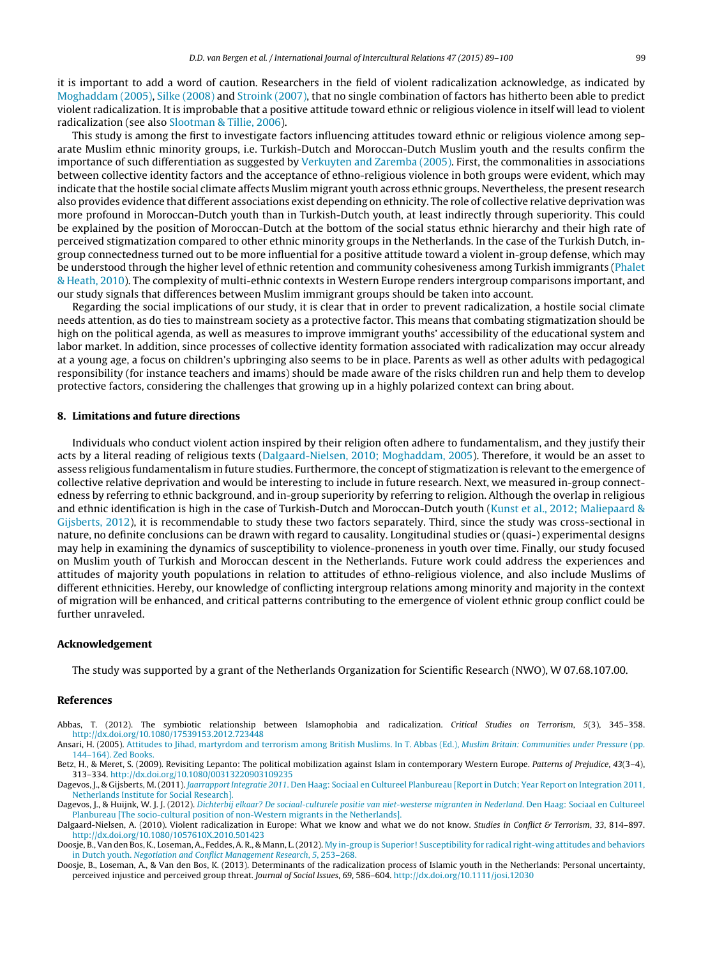<span id="page-10-0"></span>it is important to add a word of caution. Researchers in the field of violent radicalization acknowledge, as indicated by [Moghaddam](#page-11-0) [\(2005\),](#page-11-0) [Silke](#page-11-0) [\(2008\)](#page-11-0) and [Stroink](#page-11-0) [\(2007\),](#page-11-0) that no single combination of factors has hitherto been able to predict violent radicalization. It is improbable that a positive attitude toward ethnic or religious violence in itself will lead to violent radicalization (see also [Slootman](#page-11-0) [&](#page-11-0) [Tillie,](#page-11-0) [2006\).](#page-11-0)

This study is among the first to investigate factors influencing attitudes toward ethnic or religious violence among separate Muslim ethnic minority groups, i.e. Turkish-Dutch and Moroccan-Dutch Muslim youth and the results confirm the importance of such differentiation as suggested by [Verkuyten](#page-11-0) [and](#page-11-0) [Zaremba](#page-11-0) [\(2005\).](#page-11-0) First, the commonalities in associations between collective identity factors and the acceptance of ethno-religious violence in both groups were evident, which may indicate that the hostile social climate affects Muslim migrant youth across ethnic groups. Nevertheless, the present research also provides evidence that different associations exist depending on ethnicity. The role of collective relative deprivation was more profound in Moroccan-Dutch youth than in Turkish-Dutch youth, at least indirectly through superiority. This could be explained by the position of Moroccan-Dutch at the bottom of the social status ethnic hierarchy and their high rate of perceived stigmatization compared to other ethnic minority groups in the Netherlands. In the case of the Turkish Dutch, ingroup connectedness turned out to be more influential for a positive attitude toward a violent in-group defense, which may be understood through the higher level of ethnic retention and community cohesiveness among Turkish immigrants [\(Phalet](#page-11-0) [&](#page-11-0) [Heath,](#page-11-0) [2010\).](#page-11-0) The complexity of multi-ethnic contexts in Western Europe renders intergroup comparisons important, and our study signals that differences between Muslim immigrant groups should be taken into account.

Regarding the social implications of our study, it is clear that in order to prevent radicalization, a hostile social climate needs attention, as do ties to mainstream society as a protective factor. This means that combating stigmatization should be high on the political agenda, as well as measures to improve immigrant youths' accessibility of the educational system and labor market. In addition, since processes of collective identity formation associated with radicalization may occur already at a young age, a focus on children's upbringing also seems to be in place. Parents as well as other adults with pedagogical responsibility (for instance teachers and imams) should be made aware of the risks children run and help them to develop protective factors, considering the challenges that growing up in a highly polarized context can bring about.

#### **8. Limitations and future directions**

Individuals who conduct violent action inspired by their religion often adhere to fundamentalism, and they justify their acts by a literal reading of religious texts (Dalgaard-Nielsen, 2010; Moghaddam, 2005). Therefore, it would be an asset to assess religious fundamentalism in future studies. Furthermore, the concept of stigmatization is relevant to the emergence of collective relative deprivation and would be interesting to include in future research. Next, we measured in-group connectedness by referring to ethnic background, and in-group superiority by referring to religion. Although the overlap in religious and ethnic identification is high in the case of Turkish-Dutch and Moroccan-Dutch youth ([Kunst](#page-11-0) et [al.,](#page-11-0) [2012;](#page-11-0) [Maliepaard](#page-11-0) [&](#page-11-0) [Gijsberts,](#page-11-0) [2012\),](#page-11-0) it is recommendable to study these two factors separately. Third, since the study was cross-sectional in nature, no definite conclusions can be drawn with regard to causality. Longitudinal studies or (quasi-) experimental designs may help in examining the dynamics of susceptibility to violence-proneness in youth over time. Finally, our study focused on Muslim youth of Turkish and Moroccan descent in the Netherlands. Future work could address the experiences and attitudes of majority youth populations in relation to attitudes of ethno-religious violence, and also include Muslims of different ethnicities. Hereby, our knowledge of conflicting intergroup relations among minority and majority in the context of migration will be enhanced, and critical patterns contributing to the emergence of violent ethnic group conflict could be further unraveled.

#### **Acknowledgement**

The study was supported by a grant of the Netherlands Organization for Scientific Research (NWO), W 07.68.107.00.

#### **References**

- Abbas, T. (2012). The symbiotic relationship between Islamophobia and radicalization. Critical Studies on Terrorism, 5(3), 345–358. [http://dx.doi.org/10.1080/17539153.2012.723448](dx.doi.org/10.1080/17539153.2012.723448)
- Ansari, H. (2005). [Attitudes](http://refhub.elsevier.com/S0147-1767(15)00050-4/sbref0005) [to](http://refhub.elsevier.com/S0147-1767(15)00050-4/sbref0005) [Jihad,](http://refhub.elsevier.com/S0147-1767(15)00050-4/sbref0005) [martyrdom](http://refhub.elsevier.com/S0147-1767(15)00050-4/sbref0005) [and](http://refhub.elsevier.com/S0147-1767(15)00050-4/sbref0005) [terrorism](http://refhub.elsevier.com/S0147-1767(15)00050-4/sbref0005) [among](http://refhub.elsevier.com/S0147-1767(15)00050-4/sbref0005) [British](http://refhub.elsevier.com/S0147-1767(15)00050-4/sbref0005) [Muslims.](http://refhub.elsevier.com/S0147-1767(15)00050-4/sbref0005) [In](http://refhub.elsevier.com/S0147-1767(15)00050-4/sbref0005) [T.](http://refhub.elsevier.com/S0147-1767(15)00050-4/sbref0005) [Abbas](http://refhub.elsevier.com/S0147-1767(15)00050-4/sbref0005) [\(Ed.\),](http://refhub.elsevier.com/S0147-1767(15)00050-4/sbref0005) [Muslim](http://refhub.elsevier.com/S0147-1767(15)00050-4/sbref0005) [Britain:](http://refhub.elsevier.com/S0147-1767(15)00050-4/sbref0005) [Communities](http://refhub.elsevier.com/S0147-1767(15)00050-4/sbref0005) [under](http://refhub.elsevier.com/S0147-1767(15)00050-4/sbref0005) [Pressure](http://refhub.elsevier.com/S0147-1767(15)00050-4/sbref0005) [\(pp.](http://refhub.elsevier.com/S0147-1767(15)00050-4/sbref0005) [144](http://refhub.elsevier.com/S0147-1767(15)00050-4/sbref0005)–[164\).](http://refhub.elsevier.com/S0147-1767(15)00050-4/sbref0005) [Zed](http://refhub.elsevier.com/S0147-1767(15)00050-4/sbref0005) [Books.](http://refhub.elsevier.com/S0147-1767(15)00050-4/sbref0005)
- Betz, H., & Meret, S. (2009). Revisiting Lepanto: The political mobilization against Islam in contemporary Western Europe. Patterns of Prejudice, 43(3–4), 313–334. [http://dx.doi.org/10.1080/00313220903109235](dx.doi.org/10.1080/00313220903109235)

Dagevos, J., & Gijsberts, M. (2011). [Jaarrapport](http://refhub.elsevier.com/S0147-1767(15)00050-4/sbref0020) [Integratie](http://refhub.elsevier.com/S0147-1767(15)00050-4/sbref0020) [2011](http://refhub.elsevier.com/S0147-1767(15)00050-4/sbref0020). [Den](http://refhub.elsevier.com/S0147-1767(15)00050-4/sbref0020) [Haag:](http://refhub.elsevier.com/S0147-1767(15)00050-4/sbref0020) [Sociaal](http://refhub.elsevier.com/S0147-1767(15)00050-4/sbref0020) [en](http://refhub.elsevier.com/S0147-1767(15)00050-4/sbref0020) [Cultureel](http://refhub.elsevier.com/S0147-1767(15)00050-4/sbref0020) [Planbureau](http://refhub.elsevier.com/S0147-1767(15)00050-4/sbref0020) [\[Report](http://refhub.elsevier.com/S0147-1767(15)00050-4/sbref0020) [in](http://refhub.elsevier.com/S0147-1767(15)00050-4/sbref0020) [Dutch;](http://refhub.elsevier.com/S0147-1767(15)00050-4/sbref0020) [Year](http://refhub.elsevier.com/S0147-1767(15)00050-4/sbref0020) [Report](http://refhub.elsevier.com/S0147-1767(15)00050-4/sbref0020) [on](http://refhub.elsevier.com/S0147-1767(15)00050-4/sbref0020) [Integration](http://refhub.elsevier.com/S0147-1767(15)00050-4/sbref0020) [2011,](http://refhub.elsevier.com/S0147-1767(15)00050-4/sbref0020) [Netherlands](http://refhub.elsevier.com/S0147-1767(15)00050-4/sbref0020) [Institute](http://refhub.elsevier.com/S0147-1767(15)00050-4/sbref0020) [for](http://refhub.elsevier.com/S0147-1767(15)00050-4/sbref0020) [Social](http://refhub.elsevier.com/S0147-1767(15)00050-4/sbref0020) [Research\].](http://refhub.elsevier.com/S0147-1767(15)00050-4/sbref0020)

- Dagevos, J., & Huijnk, W. J. J. (2012). [Dichterbij](http://refhub.elsevier.com/S0147-1767(15)00050-4/sbref0066) [elkaar?](http://refhub.elsevier.com/S0147-1767(15)00050-4/sbref0066) [De](http://refhub.elsevier.com/S0147-1767(15)00050-4/sbref0066) [sociaal-culturele](http://refhub.elsevier.com/S0147-1767(15)00050-4/sbref0066) [positie](http://refhub.elsevier.com/S0147-1767(15)00050-4/sbref0066) [van](http://refhub.elsevier.com/S0147-1767(15)00050-4/sbref0066) [niet-westerse](http://refhub.elsevier.com/S0147-1767(15)00050-4/sbref0066) [migranten](http://refhub.elsevier.com/S0147-1767(15)00050-4/sbref0066) [in](http://refhub.elsevier.com/S0147-1767(15)00050-4/sbref0066) [Nederland](http://refhub.elsevier.com/S0147-1767(15)00050-4/sbref0066)[.](http://refhub.elsevier.com/S0147-1767(15)00050-4/sbref0066) [Den](http://refhub.elsevier.com/S0147-1767(15)00050-4/sbref0066) [Haag:](http://refhub.elsevier.com/S0147-1767(15)00050-4/sbref0066) [Sociaal](http://refhub.elsevier.com/S0147-1767(15)00050-4/sbref0066) [en](http://refhub.elsevier.com/S0147-1767(15)00050-4/sbref0066) [Cultureel](http://refhub.elsevier.com/S0147-1767(15)00050-4/sbref0066) [Planbureau](http://refhub.elsevier.com/S0147-1767(15)00050-4/sbref0066) [\[The](http://refhub.elsevier.com/S0147-1767(15)00050-4/sbref0066) [socio-cultural](http://refhub.elsevier.com/S0147-1767(15)00050-4/sbref0066) [position](http://refhub.elsevier.com/S0147-1767(15)00050-4/sbref0066) [of](http://refhub.elsevier.com/S0147-1767(15)00050-4/sbref0066) [non-Western](http://refhub.elsevier.com/S0147-1767(15)00050-4/sbref0066) [migrants](http://refhub.elsevier.com/S0147-1767(15)00050-4/sbref0066) [in](http://refhub.elsevier.com/S0147-1767(15)00050-4/sbref0066) [the](http://refhub.elsevier.com/S0147-1767(15)00050-4/sbref0066) [Netherlands\].](http://refhub.elsevier.com/S0147-1767(15)00050-4/sbref0066)
- Dalgaard-Nielsen, A. (2010). Violent radicalization in Europe: What we know and what we do not know. Studies in Conflict & Terrorism, 33, 814-897. [http://dx.doi.org/10.1080/1057610X.2010.501423](dx.doi.org/10.1080/1057610X.2010.501423)
- Doosje, B., Van den Bos, K., Loseman, A., Feddes, A. R., & Mann, L.(2012). [My](http://refhub.elsevier.com/S0147-1767(15)00050-4/sbref0035) [in-group](http://refhub.elsevier.com/S0147-1767(15)00050-4/sbref0035) [is](http://refhub.elsevier.com/S0147-1767(15)00050-4/sbref0035) [Superior!](http://refhub.elsevier.com/S0147-1767(15)00050-4/sbref0035) [Susceptibility](http://refhub.elsevier.com/S0147-1767(15)00050-4/sbref0035) [for](http://refhub.elsevier.com/S0147-1767(15)00050-4/sbref0035) [radical](http://refhub.elsevier.com/S0147-1767(15)00050-4/sbref0035) [right-wing](http://refhub.elsevier.com/S0147-1767(15)00050-4/sbref0035) [attitudes](http://refhub.elsevier.com/S0147-1767(15)00050-4/sbref0035) [and](http://refhub.elsevier.com/S0147-1767(15)00050-4/sbref0035) [behaviors](http://refhub.elsevier.com/S0147-1767(15)00050-4/sbref0035) [in](http://refhub.elsevier.com/S0147-1767(15)00050-4/sbref0035) [Dutch](http://refhub.elsevier.com/S0147-1767(15)00050-4/sbref0035) [youth.](http://refhub.elsevier.com/S0147-1767(15)00050-4/sbref0035) [Negotiation](http://refhub.elsevier.com/S0147-1767(15)00050-4/sbref0035) [and](http://refhub.elsevier.com/S0147-1767(15)00050-4/sbref0035) [Conflict](http://refhub.elsevier.com/S0147-1767(15)00050-4/sbref0035) [Management](http://refhub.elsevier.com/S0147-1767(15)00050-4/sbref0035) [Research](http://refhub.elsevier.com/S0147-1767(15)00050-4/sbref0035)[,](http://refhub.elsevier.com/S0147-1767(15)00050-4/sbref0035) [5](http://refhub.elsevier.com/S0147-1767(15)00050-4/sbref0035)[,](http://refhub.elsevier.com/S0147-1767(15)00050-4/sbref0035) [253–268.](http://refhub.elsevier.com/S0147-1767(15)00050-4/sbref0035)

Doosje, B., Loseman, A., & Van den Bos, K. (2013). Determinants of the radicalization process of Islamic youth in the Netherlands: Personal uncertainty, perceived injustice and perceived group threat. Journal of Social Issues, 69, 586–604. [http://dx.doi.org/10.1111/josi.12030](dx.doi.org/10.1111/josi.12030)